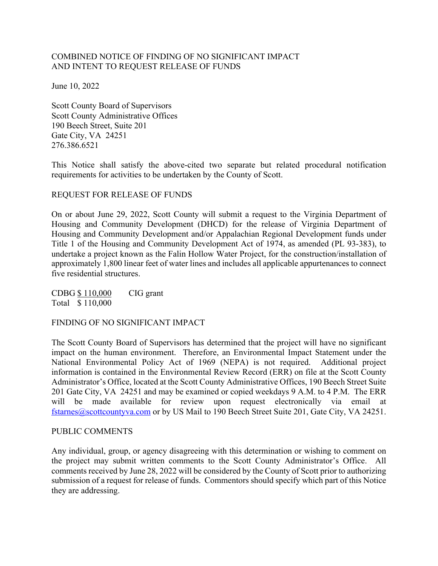# COMBINED NOTICE OF FINDING OF NO SIGNIFICANT IMPACT AND INTENT TO REQUEST RELEASE OF FUNDS

June 10, 2022

Scott County Board of Supervisors Scott County Administrative Offices 190 Beech Street, Suite 201 Gate City, VA 24251 276.386.6521

This Notice shall satisfy the above-cited two separate but related procedural notification requirements for activities to be undertaken by the County of Scott.

#### REQUEST FOR RELEASE OF FUNDS

On or about June 29, 2022, Scott County will submit a request to the Virginia Department of Housing and Community Development (DHCD) for the release of Virginia Department of Housing and Community Development and/or Appalachian Regional Development funds under Title 1 of the Housing and Community Development Act of 1974, as amended (PL 93-383), to undertake a project known as the Falin Hollow Water Project, for the construction/installation of approximately 1,800 linear feet of water lines and includes all applicable appurtenances to connect five residential structures.

CDBG \$ 110,000 CIG grant Total \$ 110,000

FINDING OF NO SIGNIFICANT IMPACT

The Scott County Board of Supervisors has determined that the project will have no significant impact on the human environment. Therefore, an Environmental Impact Statement under the National Environmental Policy Act of 1969 (NEPA) is not required. Additional project information is contained in the Environmental Review Record (ERR) on file at the Scott County Administrator's Office, located at the Scott County Administrative Offices, 190 Beech Street Suite 201 Gate City, VA 24251 and may be examined or copied weekdays 9 A.M. to 4 P.M. The ERR will be made available for review upon request electronically via email at fstarnes@scottcountyva.com or by US Mail to 190 Beech Street Suite 201, Gate City, VA 24251.

#### PUBLIC COMMENTS

Any individual, group, or agency disagreeing with this determination or wishing to comment on the project may submit written comments to the Scott County Administrator's Office. All comments received by June 28, 2022 will be considered by the County of Scott prior to authorizing submission of a request for release of funds. Commentors should specify which part of this Notice they are addressing.